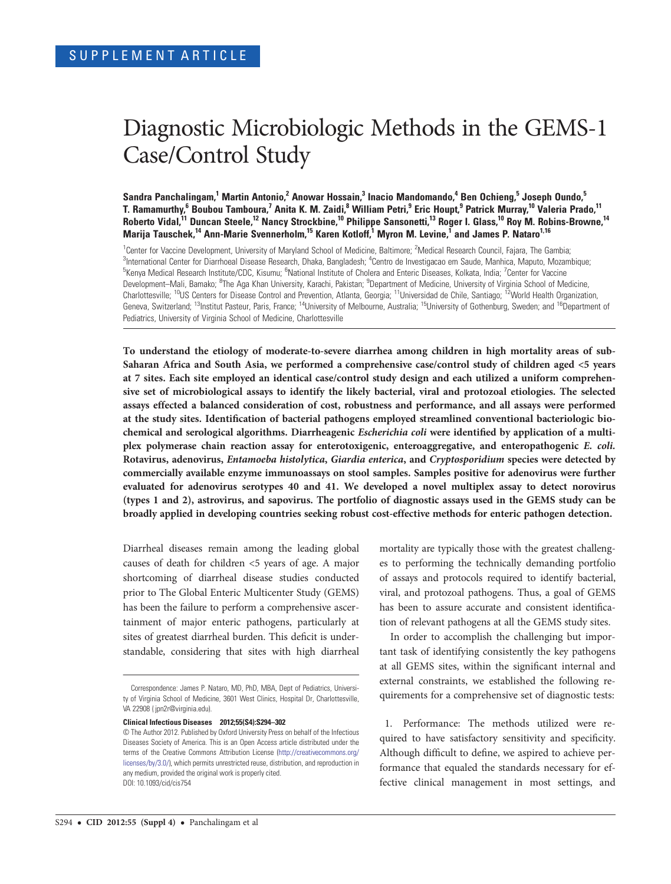# Diagnostic Microbiologic Methods in the GEMS-1 Case/Control Study

Sandra Panchalingam,<sup>1</sup> Martin Antonio,<sup>2</sup> Anowar Hossain,<sup>3</sup> Inacio Mandomando,<sup>4</sup> Ben Ochieng,<sup>5</sup> Joseph Oundo,<sup>5</sup> T. Ramamurthy,<sup>6</sup> Boubou Tamboura,<sup>7</sup> Anita K. M. Zaidi,<sup>8</sup> William Petri,<sup>9</sup> Eric Houpt,<sup>9</sup> Patrick Murray,<sup>10</sup> Valeria Prado,<sup>11</sup> Roberto Vidal,<sup>11</sup> Duncan Steele,<sup>12</sup> Nancy Strockbine,<sup>10</sup> Philippe Sansonetti,<sup>13</sup> Roger I. Glass,<sup>10</sup> Roy M. Robins-Browne,<sup>14</sup> Marija Tauschek,<sup>14</sup> Ann-Marie Svennerholm,<sup>15</sup> Karen Kotloff,<sup>1</sup> Myron M. Levine,<sup>1</sup> and James P. Nataro<sup>1,16</sup>

<sup>1</sup>Center for Vaccine Development, University of Maryland School of Medicine, Baltimore; <sup>2</sup>Medical Research Council, Fajara, The Gambia; <sup>3</sup>International Center for Diarrhoeal Disease Research, Dhaka, Bangladesh; <sup>4</sup>Centro de Investigacao em Saude, Manhica, Maputo, Mozambique; <sup>5</sup>Kenya Medical Research Institute/CDC, Kisumu; <sup>6</sup>National Institute of Cholera and Enteric Diseases, Kolkata, India; <sup>7</sup>Center for Vaccine Development–Mali, Bamako; <sup>8</sup>The Aga Khan University, Karachi, Pakistan; <sup>9</sup>Department of Medicine, University of Virginia School of Medicine, Charlottesville; <sup>10</sup>US Centers for Disease Control and Prevention, Atlanta, Georgia; <sup>11</sup>Universidad de Chile, Santiago; <sup>12</sup>World Health Organization, Geneva, Switzerland; <sup>13</sup>Institut Pasteur, Paris, France; <sup>14</sup>University of Melbourne, Australia; <sup>15</sup>University of Gothenburg, Sweden; and <sup>16</sup>Department of Pediatrics, University of Virginia School of Medicine, Charlottesville

To understand the etiology of moderate-to-severe diarrhea among children in high mortality areas of sub-Saharan Africa and South Asia, we performed a comprehensive case/control study of children aged <5 years at 7 sites. Each site employed an identical case/control study design and each utilized a uniform comprehensive set of microbiological assays to identify the likely bacterial, viral and protozoal etiologies. The selected assays effected a balanced consideration of cost, robustness and performance, and all assays were performed at the study sites. Identification of bacterial pathogens employed streamlined conventional bacteriologic biochemical and serological algorithms. Diarrheagenic Escherichia coli were identified by application of a multiplex polymerase chain reaction assay for enterotoxigenic, enteroaggregative, and enteropathogenic E. coli. Rotavirus, adenovirus, Entamoeba histolytica, Giardia enterica, and Cryptosporidium species were detected by commercially available enzyme immunoassays on stool samples. Samples positive for adenovirus were further evaluated for adenovirus serotypes 40 and 41. We developed a novel multiplex assay to detect norovirus (types 1 and 2), astrovirus, and sapovirus. The portfolio of diagnostic assays used in the GEMS study can be broadly applied in developing countries seeking robust cost-effective methods for enteric pathogen detection.

Diarrheal diseases remain among the leading global causes of death for children <5 years of age. A major shortcoming of diarrheal disease studies conducted prior to The Global Enteric Multicenter Study (GEMS) has been the failure to perform a comprehensive ascertainment of major enteric pathogens, particularly at sites of greatest diarrheal burden. This deficit is understandable, considering that sites with high diarrheal

Clinical Infectious Diseases 2012;55(S4):S294–302

mortality are typically those with the greatest challenges to performing the technically demanding portfolio of assays and protocols required to identify bacterial, viral, and protozoal pathogens. Thus, a goal of GEMS has been to assure accurate and consistent identification of relevant pathogens at all the GEMS study sites.

In order to accomplish the challenging but important task of identifying consistently the key pathogens at all GEMS sites, within the significant internal and external constraints, we established the following requirements for a comprehensive set of diagnostic tests:

1. Performance: The methods utilized were required to have satisfactory sensitivity and specificity. Although difficult to define, we aspired to achieve performance that equaled the standards necessary for effective clinical management in most settings, and

Correspondence: James P. Nataro, MD, PhD, MBA, Dept of Pediatrics, University of Virginia School of Medicine, 3601 West Clinics, Hospital Dr, Charlottesville, VA 22908 [\( jpn2r@virginia.edu\)](mailto:jpn2r@virginia.edu).

<sup>©</sup> The Author 2012. Published by Oxford University Press on behalf of the Infectious Diseases Society of America. This is an Open Access article distributed under the terms of the Creative Commons Attribution License ([http://creativecommons.org/](http://creativecommons.org/licenses/by/3.0/) [licenses/by/3.0/\)](http://creativecommons.org/licenses/by/3.0/), which permits unrestricted reuse, distribution, and reproduction in any medium, provided the original work is properly cited. DOI: 10.1093/cid/cis754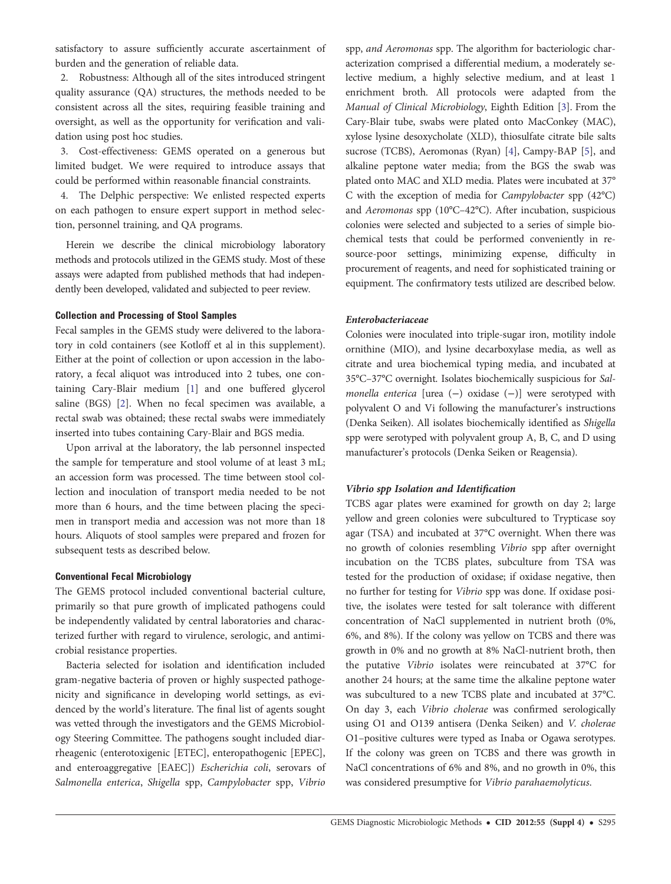satisfactory to assure sufficiently accurate ascertainment of burden and the generation of reliable data.

2. Robustness: Although all of the sites introduced stringent quality assurance (QA) structures, the methods needed to be consistent across all the sites, requiring feasible training and oversight, as well as the opportunity for verification and validation using post hoc studies.

3. Cost-effectiveness: GEMS operated on a generous but limited budget. We were required to introduce assays that could be performed within reasonable financial constraints.

4. The Delphic perspective: We enlisted respected experts on each pathogen to ensure expert support in method selection, personnel training, and QA programs.

Herein we describe the clinical microbiology laboratory methods and protocols utilized in the GEMS study. Most of these assays were adapted from published methods that had independently been developed, validated and subjected to peer review.

## Collection and Processing of Stool Samples

Fecal samples in the GEMS study were delivered to the laboratory in cold containers (see Kotloff et al in this supplement). Either at the point of collection or upon accession in the laboratory, a fecal aliquot was introduced into 2 tubes, one containing Cary-Blair medium [\[1\]](#page-8-0) and one buffered glycerol saline (BGS) [\[2](#page-8-0)]. When no fecal specimen was available, a rectal swab was obtained; these rectal swabs were immediately inserted into tubes containing Cary-Blair and BGS media.

Upon arrival at the laboratory, the lab personnel inspected the sample for temperature and stool volume of at least 3 mL; an accession form was processed. The time between stool collection and inoculation of transport media needed to be not more than 6 hours, and the time between placing the specimen in transport media and accession was not more than 18 hours. Aliquots of stool samples were prepared and frozen for subsequent tests as described below.

## Conventional Fecal Microbiology

The GEMS protocol included conventional bacterial culture, primarily so that pure growth of implicated pathogens could be independently validated by central laboratories and characterized further with regard to virulence, serologic, and antimicrobial resistance properties.

Bacteria selected for isolation and identification included gram-negative bacteria of proven or highly suspected pathogenicity and significance in developing world settings, as evidenced by the world's literature. The final list of agents sought was vetted through the investigators and the GEMS Microbiology Steering Committee. The pathogens sought included diarrheagenic (enterotoxigenic [ETEC], enteropathogenic [EPEC], and enteroaggregative [EAEC]) Escherichia coli, serovars of Salmonella enterica, Shigella spp, Campylobacter spp, Vibrio spp, and Aeromonas spp. The algorithm for bacteriologic characterization comprised a differential medium, a moderately selective medium, a highly selective medium, and at least 1 enrichment broth. All protocols were adapted from the Manual of Clinical Microbiology, Eighth Edition [[3](#page-8-0)]. From the Cary-Blair tube, swabs were plated onto MacConkey (MAC), xylose lysine desoxycholate (XLD), thiosulfate citrate bile salts sucrose (TCBS), Aeromonas (Ryan) [\[4\]](#page-8-0), Campy-BAP [\[5\]](#page-8-0), and alkaline peptone water media; from the BGS the swab was plated onto MAC and XLD media. Plates were incubated at 37° C with the exception of media for Campylobacter spp (42°C) and Aeromonas spp (10°C–42°C). After incubation, suspicious colonies were selected and subjected to a series of simple biochemical tests that could be performed conveniently in resource-poor settings, minimizing expense, difficulty in procurement of reagents, and need for sophisticated training or equipment. The confirmatory tests utilized are described below.

## Enterobacteriaceae

Colonies were inoculated into triple-sugar iron, motility indole ornithine (MIO), and lysine decarboxylase media, as well as citrate and urea biochemical typing media, and incubated at 35°C–37°C overnight. Isolates biochemically suspicious for Salmonella enterica [urea (−) oxidase (−)] were serotyped with polyvalent O and Vi following the manufacturer's instructions (Denka Seiken). All isolates biochemically identified as Shigella spp were serotyped with polyvalent group A, B, C, and D using manufacturer's protocols (Denka Seiken or Reagensia).

## Vibrio spp Isolation and Identification

TCBS agar plates were examined for growth on day 2; large yellow and green colonies were subcultured to Trypticase soy agar (TSA) and incubated at 37°C overnight. When there was no growth of colonies resembling Vibrio spp after overnight incubation on the TCBS plates, subculture from TSA was tested for the production of oxidase; if oxidase negative, then no further for testing for Vibrio spp was done. If oxidase positive, the isolates were tested for salt tolerance with different concentration of NaCl supplemented in nutrient broth (0%, 6%, and 8%). If the colony was yellow on TCBS and there was growth in 0% and no growth at 8% NaCl-nutrient broth, then the putative Vibrio isolates were reincubated at 37°C for another 24 hours; at the same time the alkaline peptone water was subcultured to a new TCBS plate and incubated at 37°C. On day 3, each Vibrio cholerae was confirmed serologically using O1 and O139 antisera (Denka Seiken) and V. cholerae O1–positive cultures were typed as Inaba or Ogawa serotypes. If the colony was green on TCBS and there was growth in NaCl concentrations of 6% and 8%, and no growth in 0%, this was considered presumptive for Vibrio parahaemolyticus.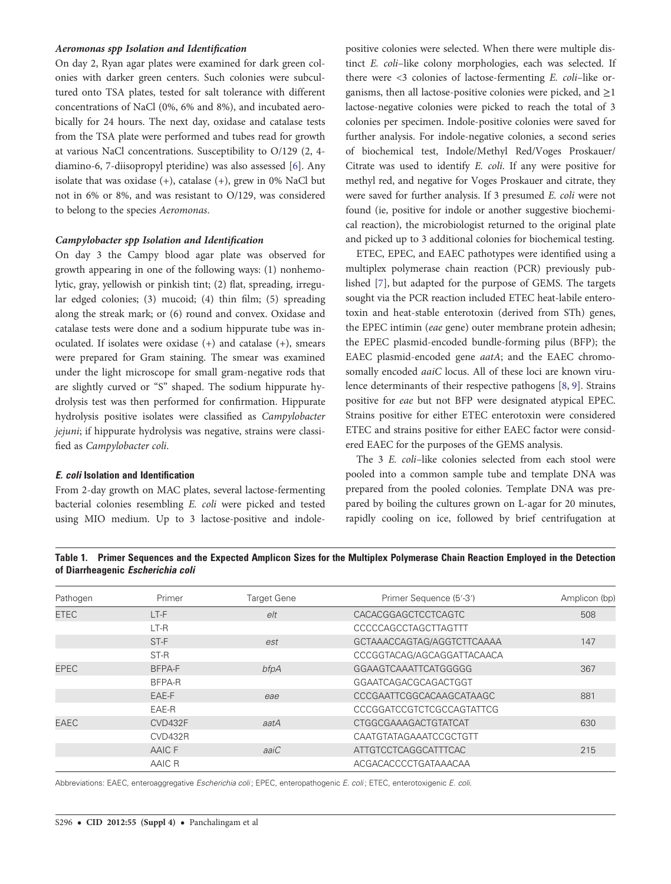#### <span id="page-2-0"></span>Aeromonas spp Isolation and Identification

On day 2, Ryan agar plates were examined for dark green colonies with darker green centers. Such colonies were subcultured onto TSA plates, tested for salt tolerance with different concentrations of NaCl (0%, 6% and 8%), and incubated aerobically for 24 hours. The next day, oxidase and catalase tests from the TSA plate were performed and tubes read for growth at various NaCl concentrations. Susceptibility to O/129 (2, 4 diamino-6, 7-diisopropyl pteridine) was also assessed [\[6\]](#page-8-0). Any isolate that was oxidase  $(+)$ , catalase  $(+)$ , grew in 0% NaCl but not in 6% or 8%, and was resistant to O/129, was considered to belong to the species Aeromonas.

#### Campylobacter spp Isolation and Identification

On day 3 the Campy blood agar plate was observed for growth appearing in one of the following ways: (1) nonhemolytic, gray, yellowish or pinkish tint; (2) flat, spreading, irregular edged colonies; (3) mucoid; (4) thin film; (5) spreading along the streak mark; or (6) round and convex. Oxidase and catalase tests were done and a sodium hippurate tube was inoculated. If isolates were oxidase (+) and catalase (+), smears were prepared for Gram staining. The smear was examined under the light microscope for small gram-negative rods that are slightly curved or "S" shaped. The sodium hippurate hydrolysis test was then performed for confirmation. Hippurate hydrolysis positive isolates were classified as Campylobacter jejuni; if hippurate hydrolysis was negative, strains were classified as Campylobacter coli.

## E. coli Isolation and Identification

From 2-day growth on MAC plates, several lactose-fermenting bacterial colonies resembling E. coli were picked and tested using MIO medium. Up to 3 lactose-positive and indole-

positive colonies were selected. When there were multiple distinct E. coli–like colony morphologies, each was selected. If there were <3 colonies of lactose-fermenting E. coli–like organisms, then all lactose-positive colonies were picked, and  $\geq$ 1 lactose-negative colonies were picked to reach the total of 3 colonies per specimen. Indole-positive colonies were saved for further analysis. For indole-negative colonies, a second series of biochemical test, Indole/Methyl Red/Voges Proskauer/ Citrate was used to identify E. coli. If any were positive for methyl red, and negative for Voges Proskauer and citrate, they were saved for further analysis. If 3 presumed E. coli were not found (ie, positive for indole or another suggestive biochemical reaction), the microbiologist returned to the original plate and picked up to 3 additional colonies for biochemical testing.

ETEC, EPEC, and EAEC pathotypes were identified using a multiplex polymerase chain reaction (PCR) previously published [[7](#page-8-0)], but adapted for the purpose of GEMS. The targets sought via the PCR reaction included ETEC heat-labile enterotoxin and heat-stable enterotoxin (derived from STh) genes, the EPEC intimin (eae gene) outer membrane protein adhesin; the EPEC plasmid-encoded bundle-forming pilus (BFP); the EAEC plasmid-encoded gene aatA; and the EAEC chromosomally encoded *aaiC* locus. All of these loci are known virulence determinants of their respective pathogens [\[8,](#page-8-0) [9\]](#page-8-0). Strains positive for eae but not BFP were designated atypical EPEC. Strains positive for either ETEC enterotoxin were considered ETEC and strains positive for either EAEC factor were considered EAEC for the purposes of the GEMS analysis.

The 3 E. coli–like colonies selected from each stool were pooled into a common sample tube and template DNA was prepared from the pooled colonies. Template DNA was prepared by boiling the cultures grown on L-agar for 20 minutes, rapidly cooling on ice, followed by brief centrifugation at

Table 1. Primer Sequences and the Expected Amplicon Sizes for the Multiplex Polymerase Chain Reaction Employed in the Detection of Diarrheagenic Escherichia coli

| Pathogen    | Primer  | <b>Target Gene</b> | Primer Sequence (5'-3')     | Amplicon (bp) |
|-------------|---------|--------------------|-----------------------------|---------------|
| <b>ETEC</b> | LT-F    | e/t                | CACACGGAGCTCCTCAGTC         | 508           |
|             | $LT-R$  |                    | CCCCCAGCCTAGCTTAGTTT        |               |
|             | ST-F    | est                | GCTAAACCAGTAG/AGGTCTTCAAAA  | 147           |
|             | ST-R    |                    | CCCGGTACAG/AGCAGGATTACAACA  |               |
| <b>EPEC</b> | BFPA-F  | bfpA               | GGAAGTCAAATTCATGGGGG        | 367           |
|             | BFPA-R  |                    | GGAATCAGACGCAGACTGGT        |               |
|             | EAE-F   | eae                | CCCGAATTCGGCACAAGCATAAGC    | 881           |
|             | EAE-R   |                    | CCCGGATCCGTCTCGCCAGTATTCG   |               |
| <b>EAEC</b> | CVD432F | aatA               | <b>CTGGCGAAAGACTGTATCAT</b> | 630           |
|             | CVD432R |                    | CAATGTATAGAAATCCGCTGTT      |               |
|             | AAIC F  | aaiC               | ATTGTCCTCAGGCATTTCAC        | 215           |
|             | AAIC R  |                    | ACGACACCCCTGATAAACAA        |               |

Abbreviations: EAEC, enteroaggregative Escherichia coli; EPEC, enteropathogenic E. coli; ETEC, enterotoxigenic E. coli.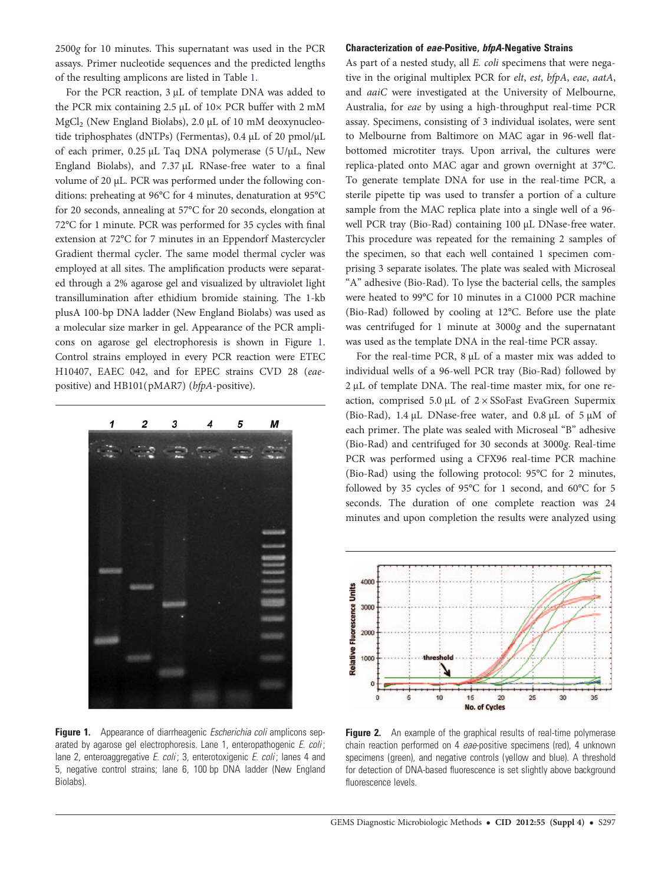<span id="page-3-0"></span>2500g for 10 minutes. This supernatant was used in the PCR assays. Primer nucleotide sequences and the predicted lengths of the resulting amplicons are listed in Table [1](#page-2-0).

For the PCR reaction, 3 μL of template DNA was added to the PCR mix containing 2.5 µL of 10× PCR buffer with 2 mM MgCl<sub>2</sub> (New England Biolabs), 2.0 µL of 10 mM deoxynucleotide triphosphates (dNTPs) (Fermentas), 0.4 µL of 20 pmol/µL of each primer, 0.25 µL Taq DNA polymerase (5 U/µL, New England Biolabs), and 7.37 µL RNase-free water to a final volume of 20 µL. PCR was performed under the following conditions: preheating at 96°C for 4 minutes, denaturation at 95°C for 20 seconds, annealing at 57°C for 20 seconds, elongation at 72°C for 1 minute. PCR was performed for 35 cycles with final extension at 72°C for 7 minutes in an Eppendorf Mastercycler Gradient thermal cycler. The same model thermal cycler was employed at all sites. The amplification products were separated through a 2% agarose gel and visualized by ultraviolet light transillumination after ethidium bromide staining. The 1-kb plusA 100-bp DNA ladder (New England Biolabs) was used as a molecular size marker in gel. Appearance of the PCR amplicons on agarose gel electrophoresis is shown in Figure 1. Control strains employed in every PCR reaction were ETEC H10407, EAEC 042, and for EPEC strains CVD 28 (eaepositive) and HB101(pMAR7) (bfpA-positive).



Figure 1. Appearance of diarrheagenic *Escherichia coli* amplicons separated by agarose gel electrophoresis. Lane 1, enteropathogenic *E. coli*; lane 2, enteroaggregative *E. coli*; 3, enterotoxigenic *E. coli*; lanes 4 and 5, negative control strains; lane 6, 100 bp DNA ladder (New England Biolabs).

## Characterization of eae-Positive, bfpA-Negative Strains

As part of a nested study, all E. coli specimens that were negative in the original multiplex PCR for elt, est, bfpA, eae, aatA, and aaiC were investigated at the University of Melbourne, Australia, for eae by using a high-throughput real-time PCR assay. Specimens, consisting of 3 individual isolates, were sent to Melbourne from Baltimore on MAC agar in 96-well flatbottomed microtiter trays. Upon arrival, the cultures were replica-plated onto MAC agar and grown overnight at 37°C. To generate template DNA for use in the real-time PCR, a sterile pipette tip was used to transfer a portion of a culture sample from the MAC replica plate into a single well of a 96 well PCR tray (Bio-Rad) containing 100 µL DNase-free water. This procedure was repeated for the remaining 2 samples of the specimen, so that each well contained 1 specimen comprising 3 separate isolates. The plate was sealed with Microseal "A" adhesive (Bio-Rad). To lyse the bacterial cells, the samples were heated to 99°C for 10 minutes in a C1000 PCR machine (Bio-Rad) followed by cooling at 12°C. Before use the plate was centrifuged for 1 minute at 3000g and the supernatant was used as the template DNA in the real-time PCR assay.

For the real-time PCR, 8 µL of a master mix was added to individual wells of a 96-well PCR tray (Bio-Rad) followed by 2 μL of template DNA. The real-time master mix, for one reaction, comprised 5.0  $\mu$ L of 2 × SSoFast EvaGreen Supermix (Bio-Rad), 1.4 µL DNase-free water, and 0.8 µL of 5 µM of each primer. The plate was sealed with Microseal "B" adhesive (Bio-Rad) and centrifuged for 30 seconds at 3000g. Real-time PCR was performed using a CFX96 real-time PCR machine (Bio-Rad) using the following protocol: 95°C for 2 minutes, followed by 35 cycles of 95°C for 1 second, and 60°C for 5 seconds. The duration of one complete reaction was 24 minutes and upon completion the results were analyzed using



**Figure 2.** An example of the graphical results of real-time polymerase chain reaction performed on 4 eae-positive specimens (red), 4 unknown specimens (green), and negative controls (yellow and blue). A threshold for detection of DNA-based fluorescence is set slightly above background fluorescence levels.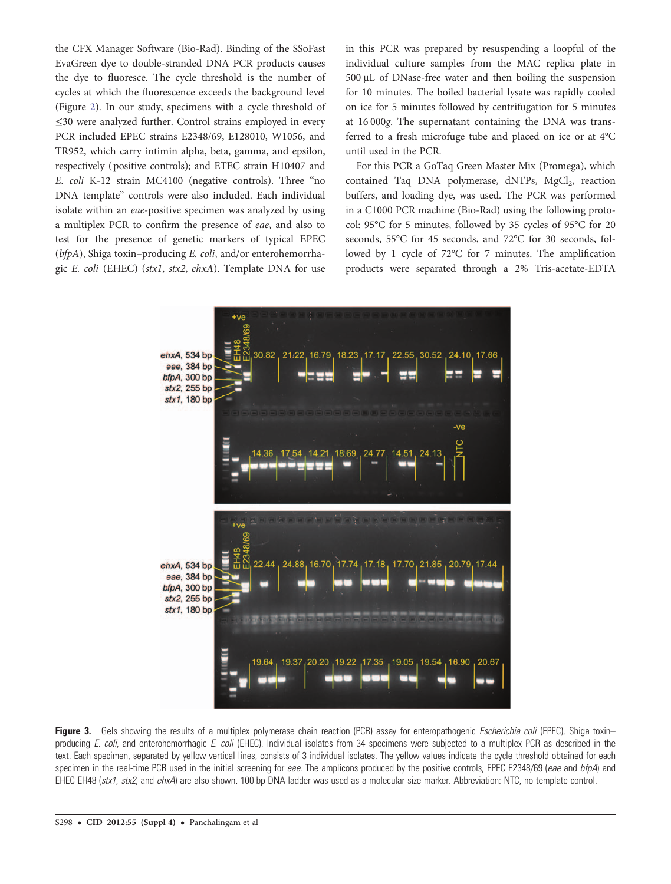<span id="page-4-0"></span>the CFX Manager Software (Bio-Rad). Binding of the SSoFast EvaGreen dye to double-stranded DNA PCR products causes the dye to fluoresce. The cycle threshold is the number of cycles at which the fluorescence exceeds the background level (Figure [2](#page-3-0)). In our study, specimens with a cycle threshold of ≤30 were analyzed further. Control strains employed in every PCR included EPEC strains E2348/69, E128010, W1056, and TR952, which carry intimin alpha, beta, gamma, and epsilon, respectively ( positive controls); and ETEC strain H10407 and E. coli K-12 strain MC4100 (negative controls). Three "no DNA template" controls were also included. Each individual isolate within an eae-positive specimen was analyzed by using a multiplex PCR to confirm the presence of eae, and also to test for the presence of genetic markers of typical EPEC (bfpA), Shiga toxin–producing E. coli, and/or enterohemorrhagic E. coli (EHEC) (stx1, stx2, ehxA). Template DNA for use in this PCR was prepared by resuspending a loopful of the individual culture samples from the MAC replica plate in 500 μL of DNase-free water and then boiling the suspension for 10 minutes. The boiled bacterial lysate was rapidly cooled on ice for 5 minutes followed by centrifugation for 5 minutes at 16 000g. The supernatant containing the DNA was transferred to a fresh microfuge tube and placed on ice or at 4°C until used in the PCR.

For this PCR a GoTaq Green Master Mix (Promega), which contained Taq DNA polymerase,  $dNTPs$ ,  $MgCl<sub>2</sub>$ , reaction buffers, and loading dye, was used. The PCR was performed in a C1000 PCR machine (Bio-Rad) using the following protocol: 95°C for 5 minutes, followed by 35 cycles of 95°C for 20 seconds, 55°C for 45 seconds, and 72°C for 30 seconds, followed by 1 cycle of 72°C for 7 minutes. The amplification products were separated through a 2% Tris-acetate-EDTA



Figure 3. Gels showing the results of a multiplex polymerase chain reaction (PCR) assay for enteropathogenic *Escherichia coli* (EPEC), Shiga toxin– producing E. coli, and enterohemorrhagic E. coli (EHEC). Individual isolates from 34 specimens were subjected to a multiplex PCR as described in the text. Each specimen, separated by yellow vertical lines, consists of 3 individual isolates. The yellow values indicate the cycle threshold obtained for each specimen in the real-time PCR used in the initial screening for eae. The amplicons produced by the positive controls, EPEC E2348/69 (eae and bfpA) and EHEC EH48 (stx1, stx2, and ehxA) are also shown. 100 bp DNA ladder was used as a molecular size marker. Abbreviation: NTC, no template control.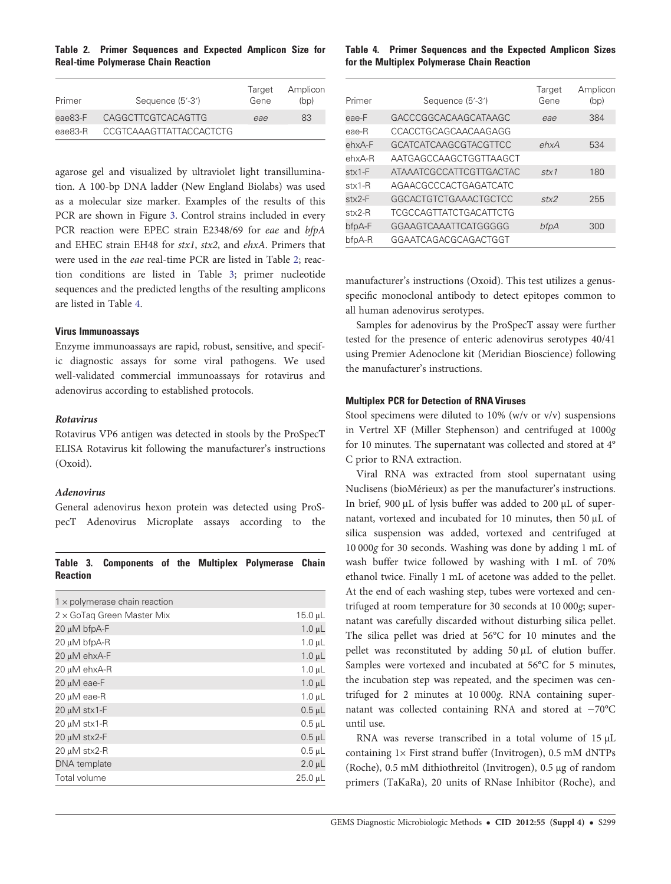Table 2. Primer Sequences and Expected Amplicon Size for Real-time Polymerase Chain Reaction

| Primer  | Sequence (5'-3')        | Target<br>Gene | Amplicon<br>(bp) |
|---------|-------------------------|----------------|------------------|
| eae83-F | CAGGCTTCGTCACAGTTG      | eae            | 83               |
| eae83-R | CCGTCAAAGTTATTACCACTCTG |                |                  |
|         |                         |                |                  |

agarose gel and visualized by ultraviolet light transillumination. A 100-bp DNA ladder (New England Biolabs) was used as a molecular size marker. Examples of the results of this PCR are shown in Figure [3](#page-4-0). Control strains included in every PCR reaction were EPEC strain E2348/69 for eae and bfpA and EHEC strain EH48 for stx1, stx2, and ehxA. Primers that were used in the eae real-time PCR are listed in Table 2; reaction conditions are listed in Table 3; primer nucleotide sequences and the predicted lengths of the resulting amplicons are listed in Table 4.

## Virus Immunoassays

Enzyme immunoassays are rapid, robust, sensitive, and specific diagnostic assays for some viral pathogens. We used well-validated commercial immunoassays for rotavirus and adenovirus according to established protocols.

## Rotavirus

Rotavirus VP6 antigen was detected in stools by the ProSpecT ELISA Rotavirus kit following the manufacturer's instructions (Oxoid).

#### Adenovirus

General adenovirus hexon protein was detected using ProSpecT Adenovirus Microplate assays according to the

## Table 3. Components of the Multiplex Polymerase Chain Reaction

| $1 \times$ polymerase chain reaction |                 |
|--------------------------------------|-----------------|
| $2 \times$ GoTaq Green Master Mix    | $15.0 \mu L$    |
| 20 µM bfpA-F                         | $1.0 \mu L$     |
| 20 µM bfpA-R                         | $1.0 \mu L$     |
| 20 µM ehxA-F                         | $1.0 \mu L$     |
| 20 µM ehxA-R                         | $1.0 \mu L$     |
| 20 µM eae-F                          | $1.0 \mu L$     |
| 20 µM eae-R                          | $1.0 \mu L$     |
| 20 µM stx1-F                         | $0.5$ $\mu$ $L$ |
| 20 µM stx1-R                         | $0.5 \mu L$     |
| 20 µM stx2-F                         | $0.5 \mu L$     |
| 20 µM stx2-R                         | $0.5$ $\mu$ L   |
| DNA template                         | $2.0 \mu L$     |
| Total volume                         | $25.0 \mu L$    |

## Table 4. Primer Sequences and the Expected Amplicon Sizes for the Multiplex Polymerase Chain Reaction

| Primer          | Sequence (5'-3')              | Target<br>Gene | Amplicon<br>(bp) |
|-----------------|-------------------------------|----------------|------------------|
| eae-F           | GACCCGGCACAAGCATAAGC          | eae            | 384              |
| eae-R           | CCACCTGCAGCAACAAGAGG          |                |                  |
| ehxA-F          | <b>GCATCATCAAGCGTACGTTCC</b>  | ehxA           | 534              |
| $ehxA-R$        | AATGAGCCAAGCTGGTTAAGCT        |                |                  |
| $stx1-F$        | ATAAATCGCCATTCGTTGACTAC       | stx1           | 180              |
| $stx1-R$        | AGAACGCCCACTGAGATCATC         |                |                  |
| $stx2-F$        | GGCACTGTCTGAAACTGCTCC         | stx2           | 255              |
| $\text{stx2-R}$ | <b>TCGCCAGTTATCTGACATTCTG</b> |                |                  |
| bfpA-F          | GGAAGTCAAATTCATGGGGG          | bfpA           | 300              |
| bfpA-R          | GGAATCAGACGCAGACTGGT          |                |                  |

manufacturer's instructions (Oxoid). This test utilizes a genusspecific monoclonal antibody to detect epitopes common to all human adenovirus serotypes.

Samples for adenovirus by the ProSpecT assay were further tested for the presence of enteric adenovirus serotypes 40/41 using Premier Adenoclone kit (Meridian Bioscience) following the manufacturer's instructions.

#### Multiplex PCR for Detection of RNA Viruses

Stool specimens were diluted to 10% (w/v or v/v) suspensions in Vertrel XF (Miller Stephenson) and centrifuged at 1000g for 10 minutes. The supernatant was collected and stored at 4° C prior to RNA extraction.

Viral RNA was extracted from stool supernatant using Nuclisens (bioMérieux) as per the manufacturer's instructions. In brief, 900 μL of lysis buffer was added to 200 µL of supernatant, vortexed and incubated for 10 minutes, then 50 μL of silica suspension was added, vortexed and centrifuged at 10 000g for 30 seconds. Washing was done by adding 1 mL of wash buffer twice followed by washing with 1 mL of 70% ethanol twice. Finally 1 mL of acetone was added to the pellet. At the end of each washing step, tubes were vortexed and centrifuged at room temperature for 30 seconds at 10 000g; supernatant was carefully discarded without disturbing silica pellet. The silica pellet was dried at 56°C for 10 minutes and the pellet was reconstituted by adding 50 μL of elution buffer. Samples were vortexed and incubated at 56°C for 5 minutes, the incubation step was repeated, and the specimen was centrifuged for 2 minutes at 10 000g. RNA containing supernatant was collected containing RNA and stored at −70°C until use.

RNA was reverse transcribed in a total volume of 15 µL containing 1× First strand buffer (Invitrogen), 0.5 mM dNTPs (Roche), 0.5 mM dithiothreitol (Invitrogen), 0.5 µg of random primers (TaKaRa), 20 units of RNase Inhibitor (Roche), and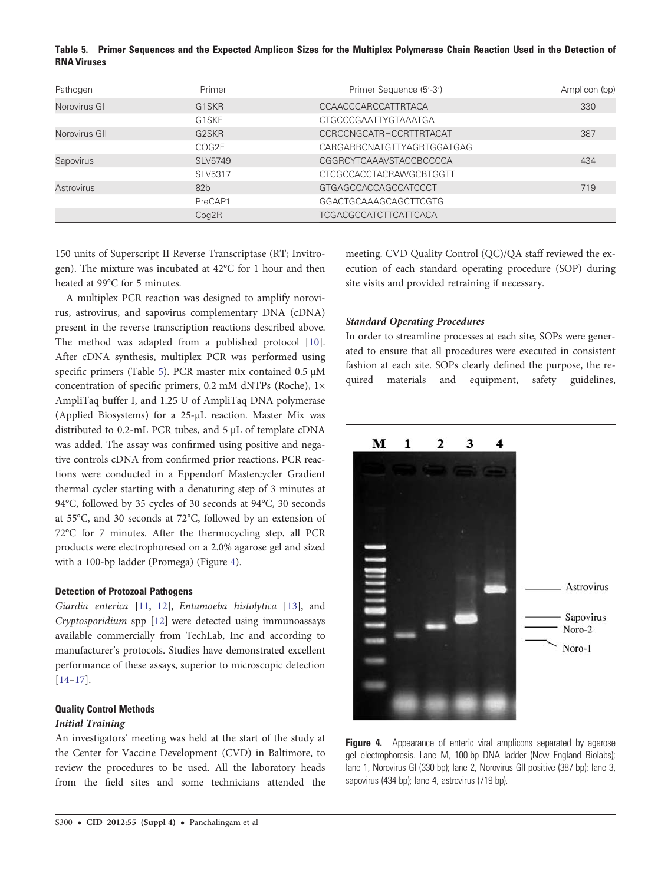Table 5. Primer Sequences and the Expected Amplicon Sizes for the Multiplex Polymerase Chain Reaction Used in the Detection of RNA Viruses

| Pathogen          | Primer                         | Primer Sequence (5'-3')        | Amplicon (bp) |
|-------------------|--------------------------------|--------------------------------|---------------|
| Norovirus GI      | G <sub>1</sub> S <sub>KR</sub> | <b>CCAACCCARCCATTRTACA</b>     | 330           |
|                   | G <sub>1</sub> SKF             | CTGCCCGAATTYGTAAATGA           |               |
| Norovirus GII     | G <sub>2</sub> S <sub>KR</sub> | CCRCCNGCATRHCCRTTRTACAT        | 387           |
|                   | COG2F                          | CARGARBCNATGTTYAGRTGGATGAG     |               |
| Sapovirus         | SLV5749                        | CGGRCYTCAAAVSTACCBCCCCA        | 434           |
|                   | SLV5317                        | <b>CTCGCCACCTACRAWGCBTGGTT</b> |               |
| <b>Astrovirus</b> | 82 <sub>b</sub>                | GTGAGCCACCAGCCATCCCT           | 719           |
|                   | PreCAP1                        | GGACTGCAAAGCAGCTTCGTG          |               |
|                   | Cog2R                          | <b>TCGACGCCATCTTCATTCACA</b>   |               |

150 units of Superscript II Reverse Transcriptase (RT; Invitrogen). The mixture was incubated at 42°C for 1 hour and then heated at 99°C for 5 minutes.

A multiplex PCR reaction was designed to amplify norovirus, astrovirus, and sapovirus complementary DNA (cDNA) present in the reverse transcription reactions described above. The method was adapted from a published protocol [\[10\]](#page-8-0). After cDNA synthesis, multiplex PCR was performed using specific primers (Table 5). PCR master mix contained  $0.5 \mu M$ concentration of specific primers, 0.2 mM dNTPs (Roche), 1× AmpliTaq buffer I, and 1.25 U of AmpliTaq DNA polymerase (Applied Biosystems) for a 25-µL reaction. Master Mix was distributed to 0.2-mL PCR tubes, and 5 µL of template cDNA was added. The assay was confirmed using positive and negative controls cDNA from confirmed prior reactions. PCR reactions were conducted in a Eppendorf Mastercycler Gradient thermal cycler starting with a denaturing step of 3 minutes at 94°C, followed by 35 cycles of 30 seconds at 94°C, 30 seconds at 55°C, and 30 seconds at 72°C, followed by an extension of 72°C for 7 minutes. After the thermocycling step, all PCR products were electrophoresed on a 2.0% agarose gel and sized with a 100-bp ladder (Promega) (Figure 4).

### Detection of Protozoal Pathogens

Giardia enterica [[11,](#page-8-0) [12](#page-8-0)], Entamoeba histolytica [\[13](#page-8-0)], and Cryptosporidium spp [[12\]](#page-8-0) were detected using immunoassays available commercially from TechLab, Inc and according to manufacturer's protocols. Studies have demonstrated excellent performance of these assays, superior to microscopic detection [\[14](#page-8-0)–[17](#page-8-0)].

# Quality Control Methods

## Initial Training

An investigators' meeting was held at the start of the study at the Center for Vaccine Development (CVD) in Baltimore, to review the procedures to be used. All the laboratory heads from the field sites and some technicians attended the meeting. CVD Quality Control (QC)/QA staff reviewed the execution of each standard operating procedure (SOP) during site visits and provided retraining if necessary.

## Standard Operating Procedures

In order to streamline processes at each site, SOPs were generated to ensure that all procedures were executed in consistent fashion at each site. SOPs clearly defined the purpose, the required materials and equipment, safety guidelines,



Figure 4. Appearance of enteric viral amplicons separated by agarose gel electrophoresis. Lane M, 100 bp DNA ladder (New England Biolabs); lane 1, Norovirus GI (330 bp); lane 2, Norovirus GII positive (387 bp); lane 3, sapovirus (434 bp); lane 4, astrovirus (719 bp).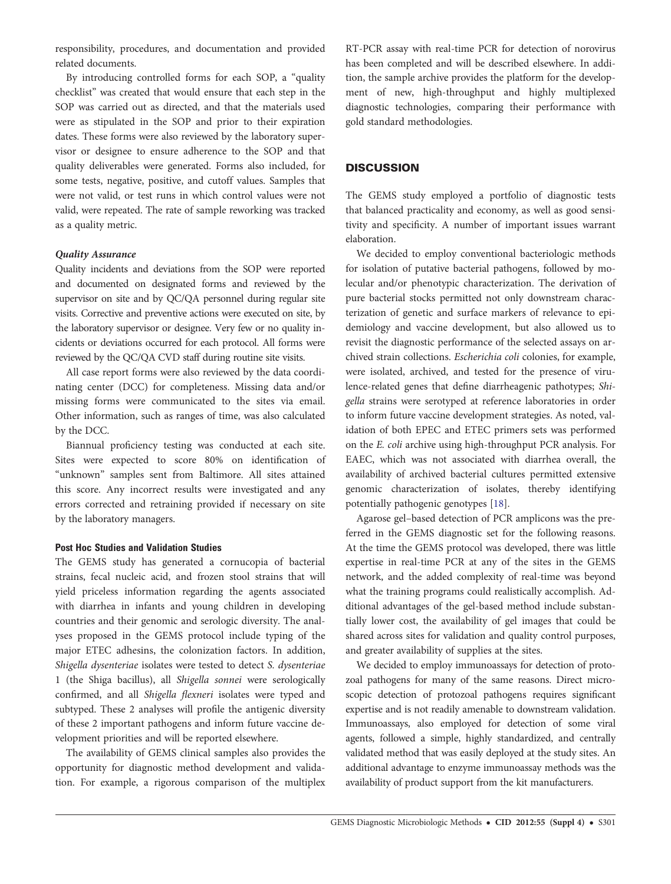responsibility, procedures, and documentation and provided related documents.

By introducing controlled forms for each SOP, a "quality checklist" was created that would ensure that each step in the SOP was carried out as directed, and that the materials used were as stipulated in the SOP and prior to their expiration dates. These forms were also reviewed by the laboratory supervisor or designee to ensure adherence to the SOP and that quality deliverables were generated. Forms also included, for some tests, negative, positive, and cutoff values. Samples that were not valid, or test runs in which control values were not valid, were repeated. The rate of sample reworking was tracked as a quality metric.

## Quality Assurance

Quality incidents and deviations from the SOP were reported and documented on designated forms and reviewed by the supervisor on site and by QC/QA personnel during regular site visits. Corrective and preventive actions were executed on site, by the laboratory supervisor or designee. Very few or no quality incidents or deviations occurred for each protocol. All forms were reviewed by the QC/QA CVD staff during routine site visits.

All case report forms were also reviewed by the data coordinating center (DCC) for completeness. Missing data and/or missing forms were communicated to the sites via email. Other information, such as ranges of time, was also calculated by the DCC.

Biannual proficiency testing was conducted at each site. Sites were expected to score 80% on identification of "unknown" samples sent from Baltimore. All sites attained this score. Any incorrect results were investigated and any errors corrected and retraining provided if necessary on site by the laboratory managers.

#### Post Hoc Studies and Validation Studies

The GEMS study has generated a cornucopia of bacterial strains, fecal nucleic acid, and frozen stool strains that will yield priceless information regarding the agents associated with diarrhea in infants and young children in developing countries and their genomic and serologic diversity. The analyses proposed in the GEMS protocol include typing of the major ETEC adhesins, the colonization factors. In addition, Shigella dysenteriae isolates were tested to detect S. dysenteriae 1 (the Shiga bacillus), all Shigella sonnei were serologically confirmed, and all Shigella flexneri isolates were typed and subtyped. These 2 analyses will profile the antigenic diversity of these 2 important pathogens and inform future vaccine development priorities and will be reported elsewhere.

The availability of GEMS clinical samples also provides the opportunity for diagnostic method development and validation. For example, a rigorous comparison of the multiplex

RT-PCR assay with real-time PCR for detection of norovirus has been completed and will be described elsewhere. In addition, the sample archive provides the platform for the development of new, high-throughput and highly multiplexed diagnostic technologies, comparing their performance with gold standard methodologies.

## **DISCUSSION**

The GEMS study employed a portfolio of diagnostic tests that balanced practicality and economy, as well as good sensitivity and specificity. A number of important issues warrant elaboration.

We decided to employ conventional bacteriologic methods for isolation of putative bacterial pathogens, followed by molecular and/or phenotypic characterization. The derivation of pure bacterial stocks permitted not only downstream characterization of genetic and surface markers of relevance to epidemiology and vaccine development, but also allowed us to revisit the diagnostic performance of the selected assays on archived strain collections. Escherichia coli colonies, for example, were isolated, archived, and tested for the presence of virulence-related genes that define diarrheagenic pathotypes; Shigella strains were serotyped at reference laboratories in order to inform future vaccine development strategies. As noted, validation of both EPEC and ETEC primers sets was performed on the E. coli archive using high-throughput PCR analysis. For EAEC, which was not associated with diarrhea overall, the availability of archived bacterial cultures permitted extensive genomic characterization of isolates, thereby identifying potentially pathogenic genotypes [[18\]](#page-8-0).

Agarose gel–based detection of PCR amplicons was the preferred in the GEMS diagnostic set for the following reasons. At the time the GEMS protocol was developed, there was little expertise in real-time PCR at any of the sites in the GEMS network, and the added complexity of real-time was beyond what the training programs could realistically accomplish. Additional advantages of the gel-based method include substantially lower cost, the availability of gel images that could be shared across sites for validation and quality control purposes, and greater availability of supplies at the sites.

We decided to employ immunoassays for detection of protozoal pathogens for many of the same reasons. Direct microscopic detection of protozoal pathogens requires significant expertise and is not readily amenable to downstream validation. Immunoassays, also employed for detection of some viral agents, followed a simple, highly standardized, and centrally validated method that was easily deployed at the study sites. An additional advantage to enzyme immunoassay methods was the availability of product support from the kit manufacturers.